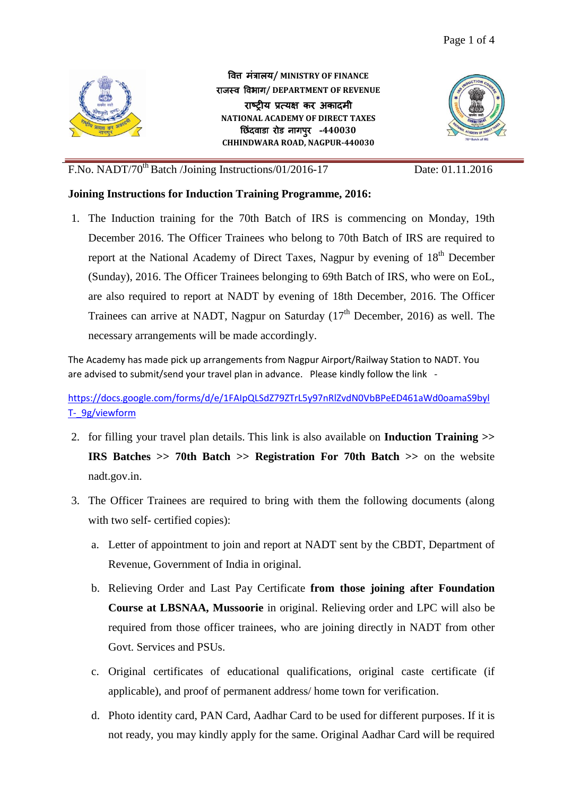

वित्त मंत्रालय**/ MINISTRY OF FINANCE** राजस्ि विभाग**/ DEPARTMENT OF REVENUE** राष्टीय प्रत्यक्ष कर अकादमी **NATIONAL ACADEMY OF DIRECT TAXES** छिंदवाडा रोड नागपुर -440030 **CHHINDWARA ROAD, NAGPUR-440030**



## F.No. NADT/70<sup>th</sup> Batch /Joining Instructions/01/2016-17 Date: 01.11.2016

## **Joining Instructions for Induction Training Programme, 2016:**

1. The Induction training for the 70th Batch of IRS is commencing on Monday, 19th December 2016. The Officer Trainees who belong to 70th Batch of IRS are required to report at the National Academy of Direct Taxes, Nagpur by evening of 18<sup>th</sup> December (Sunday), 2016. The Officer Trainees belonging to 69th Batch of IRS, who were on EoL, are also required to report at NADT by evening of 18th December, 2016. The Officer Trainees can arrive at NADT, Nagpur on Saturday  $(17<sup>th</sup>$  December, 2016) as well. The necessary arrangements will be made accordingly.

The Academy has made pick up arrangements from Nagpur Airport/Railway Station to NADT. You are advised to submit/send your travel plan in advance. Please kindly follow the link -

[https://docs.google.com/forms/d/e/1FAIpQLSdZ79ZTrL5y97nRlZvdN0VbBPeED461aWd0oamaS9byl](https://docs.google.com/forms/d/e/1FAIpQLSdZ79ZTrL5y97nRlZvdN0VbBPeED461aWd0oamaS9bylT-_9g/viewform) [T-\\_9g/viewform](https://docs.google.com/forms/d/e/1FAIpQLSdZ79ZTrL5y97nRlZvdN0VbBPeED461aWd0oamaS9bylT-_9g/viewform)

- 2. for filling your travel plan details. This link is also available on **Induction Training >> IRS Batches >> 70th Batch >> Registration For 70th Batch >>** on the website nadt.gov.in.
- 3. The Officer Trainees are required to bring with them the following documents (along with two self- certified copies):
	- a. Letter of appointment to join and report at NADT sent by the CBDT, Department of Revenue, Government of India in original.
	- b. Relieving Order and Last Pay Certificate **from those joining after Foundation Course at LBSNAA, Mussoorie** in original. Relieving order and LPC will also be required from those officer trainees, who are joining directly in NADT from other Govt. Services and PSUs.
	- c. Original certificates of educational qualifications, original caste certificate (if applicable), and proof of permanent address/ home town for verification.
	- d. Photo identity card, PAN Card, Aadhar Card to be used for different purposes. If it is not ready, you may kindly apply for the same. Original Aadhar Card will be required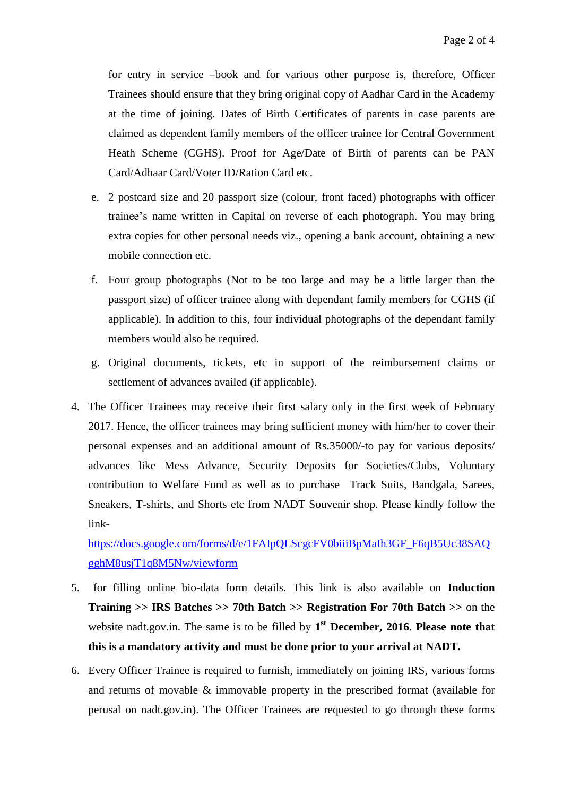for entry in service –book and for various other purpose is, therefore, Officer Trainees should ensure that they bring original copy of Aadhar Card in the Academy at the time of joining. Dates of Birth Certificates of parents in case parents are claimed as dependent family members of the officer trainee for Central Government Heath Scheme (CGHS). Proof for Age/Date of Birth of parents can be PAN Card/Adhaar Card/Voter ID/Ration Card etc.

- e. 2 postcard size and 20 passport size (colour, front faced) photographs with officer trainee's name written in Capital on reverse of each photograph. You may bring extra copies for other personal needs viz., opening a bank account, obtaining a new mobile connection etc.
- f. Four group photographs (Not to be too large and may be a little larger than the passport size) of officer trainee along with dependant family members for CGHS (if applicable). In addition to this, four individual photographs of the dependant family members would also be required.
- g. Original documents, tickets, etc in support of the reimbursement claims or settlement of advances availed (if applicable).
- 4. The Officer Trainees may receive their first salary only in the first week of February 2017. Hence, the officer trainees may bring sufficient money with him/her to cover their personal expenses and an additional amount of Rs.35000/-to pay for various deposits/ advances like Mess Advance, Security Deposits for Societies/Clubs, Voluntary contribution to Welfare Fund as well as to purchase Track Suits, Bandgala, Sarees, Sneakers, T-shirts, and Shorts etc from NADT Souvenir shop. Please kindly follow the link-

[https://docs.google.com/forms/d/e/1FAIpQLScgcFV0biiiBpMaIh3GF\\_F6qB5Uc38SAQ](https://docs.google.com/forms/d/e/1FAIpQLScgcFV0biiiBpMaIh3GF_F6qB5Uc38SAQgghM8usjT1q8M5Nw/viewform) [gghM8usjT1q8M5Nw/viewform](https://docs.google.com/forms/d/e/1FAIpQLScgcFV0biiiBpMaIh3GF_F6qB5Uc38SAQgghM8usjT1q8M5Nw/viewform)

- 5. for filling online bio-data form details. This link is also available on **Induction Training >> IRS Batches >> 70th Batch >> Registration For 70th Batch >>** on the website nadt.gov.in. The same is to be filled by 1<sup>st</sup> December, 2016. Please note that **this is a mandatory activity and must be done prior to your arrival at NADT.**
- 6. Every Officer Trainee is required to furnish, immediately on joining IRS, various forms and returns of movable & immovable property in the prescribed format (available for perusal on nadt.gov.in). The Officer Trainees are requested to go through these forms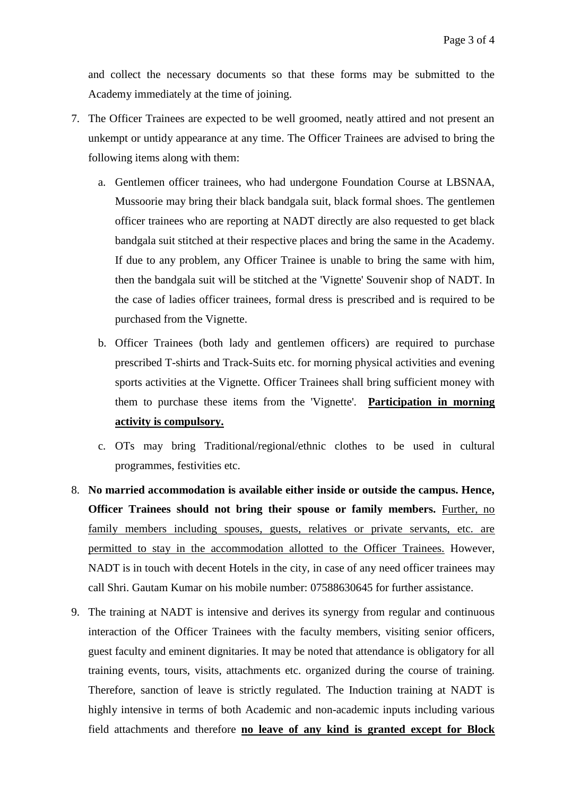and collect the necessary documents so that these forms may be submitted to the Academy immediately at the time of joining.

- 7. The Officer Trainees are expected to be well groomed, neatly attired and not present an unkempt or untidy appearance at any time. The Officer Trainees are advised to bring the following items along with them:
	- a. Gentlemen officer trainees, who had undergone Foundation Course at LBSNAA, Mussoorie may bring their black bandgala suit, black formal shoes. The gentlemen officer trainees who are reporting at NADT directly are also requested to get black bandgala suit stitched at their respective places and bring the same in the Academy. If due to any problem, any Officer Trainee is unable to bring the same with him, then the bandgala suit will be stitched at the 'Vignette' Souvenir shop of NADT. In the case of ladies officer trainees, formal dress is prescribed and is required to be purchased from the Vignette.
	- b. Officer Trainees (both lady and gentlemen officers) are required to purchase prescribed T-shirts and Track-Suits etc. for morning physical activities and evening sports activities at the Vignette. Officer Trainees shall bring sufficient money with them to purchase these items from the 'Vignette'. **Participation in morning activity is compulsory.**
	- c. OTs may bring Traditional/regional/ethnic clothes to be used in cultural programmes, festivities etc.
- 8. **No married accommodation is available either inside or outside the campus. Hence, Officer Trainees should not bring their spouse or family members.** Further, no family members including spouses, guests, relatives or private servants, etc. are permitted to stay in the accommodation allotted to the Officer Trainees. However, NADT is in touch with decent Hotels in the city, in case of any need officer trainees may call Shri. Gautam Kumar on his mobile number: 07588630645 for further assistance.
- 9. The training at NADT is intensive and derives its synergy from regular and continuous interaction of the Officer Trainees with the faculty members, visiting senior officers, guest faculty and eminent dignitaries. It may be noted that attendance is obligatory for all training events, tours, visits, attachments etc. organized during the course of training. Therefore, sanction of leave is strictly regulated. The Induction training at NADT is highly intensive in terms of both Academic and non-academic inputs including various field attachments and therefore **no leave of any kind is granted except for Block**